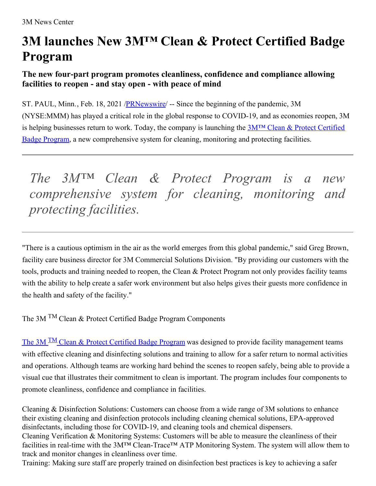## **3M launches New 3M™ Clean & Protect Certified Badge Program**

## **The new four-part program promotes cleanliness, confidence and compliance allowing facilities to reopen - and stay open - with peace of mind**

ST. PAUL, Minn., Feb. 18, 2021 /**PRNewswire/** -- Since the beginning of the pandemic, 3M (NYSE:MMM) has played a critical role in the global response to COVID-19, and as economies reopen, 3M is helping businesses return to work. Today, the company is launching the  $3M<sup>TM</sup> Clean & Protest$  Certified Badge Program, a new [comprehensive](https://c212.net/c/link/?t=0&l=en&o=3071447-1&h=3223132611&u=https%3A%2F%2Fwww.3m.com%2F3M%2Fen_US%2Fcommercial-cleaning-us%2Fsolutions%2Fcleaning-sanitizing-disinfecting%2Fclean-and-protect-program%2F%3Futm_medium%3Dredirect%26utm_source%3Dvanity-url%26utm_campaign%3D3m.com%2Fcleanandprotect&a=3M%E2%84%A2+Clean+%26+Protect+Certified+Badge+Program) system for cleaning, monitoring and protecting facilities.

*The 3M™ Clean & Protect Program is a new comprehensive system for cleaning, monitoring and protecting facilities.*

"There is a cautious optimism in the air as the world emerges from this global pandemic," said Greg Brown, facility care business director for 3M Commercial Solutions Division. "By providing our customers with the tools, products and training needed to reopen, the Clean & Protect Program not only provides facility teams with the ability to help create a safer work environment but also helps gives their guests more confidence in the health and safety of the facility."

The 3M TM Clean & Protect Certified Badge Program Components

The 3M <sup>TM</sup> Clean & Protect [Certified](https://c212.net/c/link/?t=0&l=en&o=3071447-1&h=1220701590&u=https%3A%2F%2Fwww.3m.com%2F3M%2Fen_US%2Fcommercial-cleaning-us%2Fsolutions%2Fcleaning-sanitizing-disinfecting%2Fclean-and-protect-program%2F%3Futm_medium%3Dredirect%26utm_source%3Dvanity-url%26utm_campaign%3D3m.com%2Fcleanandprotect&a=The+3MTM+Clean+%26+Protect+Certified+Badge+Program) Badge Program was designed to provide facility management teams with effective cleaning and disinfecting solutions and training to allow for a safer return to normal activities and operations. Although teams are working hard behind the scenes to reopen safely, being able to provide a visual cue that illustrates their commitment to clean is important. The program includes four components to promote cleanliness, confidence and compliance in facilities.

Cleaning & Disinfection Solutions: Customers can choose from a wide range of 3M solutions to enhance their existing cleaning and disinfection protocols including cleaning chemical solutions, EPA-approved disinfectants, including those for COVID-19, and cleaning tools and chemical dispensers. Cleaning Verification & Monitoring Systems: Customers will be able to measure the cleanliness of their facilities in real-time with the 3M™ Clean-Trace™ ATP Monitoring System. The system will allow them to track and monitor changes in cleanliness over time. Training: Making sure staff are properly trained on disinfection best practices is key to achieving a safer